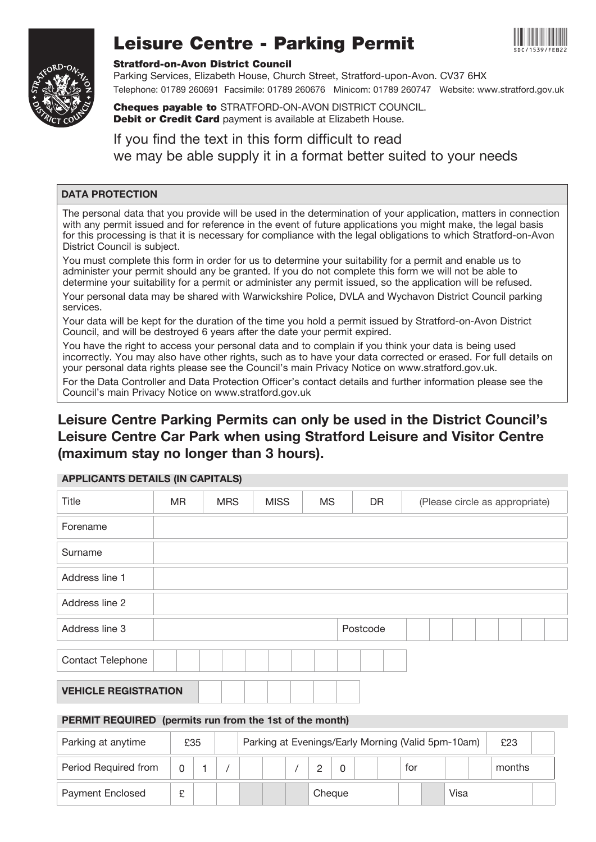

# Leisure Centre - Parking Permit



#### Stratford-on-Avon District Council

Parking Services, Elizabeth House, Church Street, Stratford-upon-Avon. CV37 6HX Telephone: 01789 260691 Facsimile: 01789 260676 Minicom: 01789 260747 Website: www.stratford.gov.uk

Cheques payable to STRATFORD-ON-AVON DISTRICT COUNCIL. Debit or Credit Card payment is available at Elizabeth House.

If you find the text in this form difficult to read we may be able supply it in a format better suited to your needs

### DATA PROTECTION

The personal data that you provide will be used in the determination of your application, matters in connection with any permit issued and for reference in the event of future applications you might make, the legal basis for this processing is that it is necessary for compliance with the legal obligations to which Stratford-on-Avon District Council is subject.

You must complete this form in order for us to determine your suitability for a permit and enable us to administer your permit should any be granted. If you do not complete this form we will not be able to determine your suitability for a permit or administer any permit issued, so the application will be refused.

Your personal data may be shared with Warwickshire Police, DVLA and Wychavon District Council parking services.

Your data will be kept for the duration of the time you hold a permit issued by Stratford-on-Avon District Council, and will be destroyed 6 years after the date your permit expired.

You have the right to access your personal data and to complain if you think your data is being used incorrectly. You may also have other rights, such as to have your data corrected or erased. For full details on your personal data rights please see the Council's main Privacy Notice on www.stratford.gov.uk.

For the Data Controller and Data Protection Officer's contact details and further information please see the Council's main Privacy Notice on www.stratford.gov.uk

# Leisure Centre Parking Permits can only be used in the District Council's Leisure Centre Car Park when using Stratford Leisure and Visitor Centre (maximum stay no longer than 3 hours).

| Title                                                   | MR. |     | <b>MRS</b> | <b>MISS</b>                                        | <b>MS</b>      | <b>DR</b> |  | (Please circle as appropriate) |  |        |  |  |  |
|---------------------------------------------------------|-----|-----|------------|----------------------------------------------------|----------------|-----------|--|--------------------------------|--|--------|--|--|--|
| Forename                                                |     |     |            |                                                    |                |           |  |                                |  |        |  |  |  |
| Surname                                                 |     |     |            |                                                    |                |           |  |                                |  |        |  |  |  |
| Address line 1                                          |     |     |            |                                                    |                |           |  |                                |  |        |  |  |  |
| Address line 2                                          |     |     |            |                                                    |                |           |  |                                |  |        |  |  |  |
| Address line 3                                          |     |     |            |                                                    |                | Postcode  |  |                                |  |        |  |  |  |
| <b>Contact Telephone</b>                                |     |     |            |                                                    |                |           |  |                                |  |        |  |  |  |
| <b>VEHICLE REGISTRATION</b>                             |     |     |            |                                                    |                |           |  |                                |  |        |  |  |  |
| PERMIT REQUIRED (permits run from the 1st of the month) |     |     |            |                                                    |                |           |  |                                |  |        |  |  |  |
| Parking at anytime                                      |     | £35 |            | Parking at Evenings/Early Morning (Valid 5pm-10am) |                |           |  |                                |  | £23    |  |  |  |
| Period Required from                                    | 0   | 1   |            |                                                    | $\overline{c}$ | 0         |  | for                            |  | months |  |  |  |

Payment Enclosed  $\fbox{\texttt{E}}$   $\fbox{\texttt{E}}$  Cheque Visa

## APPLICANTS DETAILS (IN CAPITALS)